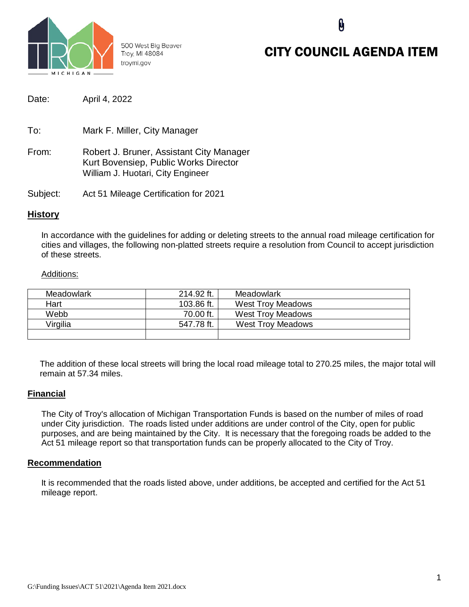

500 West Big Beaver Troy, MI 48084 troymi.gov

## CITY COUNCIL AGENDA ITEM

**Q** 

| Date: | April 4, 2022 |
|-------|---------------|
|       |               |

To: Mark F. Miller, City Manager From: Robert J. Bruner, Assistant City Manager Kurt Bovensiep, Public Works Director William J. Huotari, City Engineer

Subject: Act 51 Mileage Certification for 2021

### **History**

In accordance with the guidelines for adding or deleting streets to the annual road mileage certification for cities and villages, the following non-platted streets require a resolution from Council to accept jurisdiction of these streets.

#### Additions:

| Meadowlark | 214.92 ft. | Meadowlark               |  |
|------------|------------|--------------------------|--|
| Hart       | 103.86 ft. | <b>West Troy Meadows</b> |  |
| Webb       | 70.00 ft.  | <b>West Troy Meadows</b> |  |
| Virgilia   | 547.78 ft. | <b>West Troy Meadows</b> |  |
|            |            |                          |  |

The addition of these local streets will bring the local road mileage total to 270.25 miles, the major total will remain at 57.34 miles.

#### **Financial**

The City of Troy's allocation of Michigan Transportation Funds is based on the number of miles of road under City jurisdiction. The roads listed under additions are under control of the City, open for public purposes, and are being maintained by the City. It is necessary that the foregoing roads be added to the Act 51 mileage report so that transportation funds can be properly allocated to the City of Troy.

#### **Recommendation**

It is recommended that the roads listed above, under additions, be accepted and certified for the Act 51 mileage report.